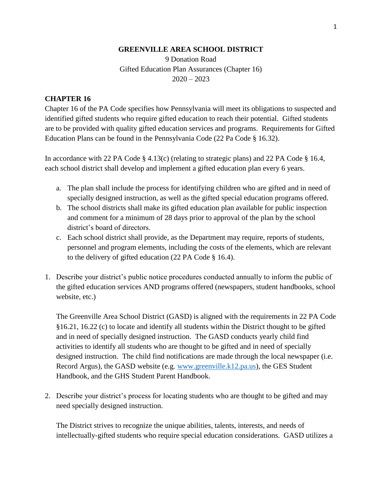#### **GREENVILLE AREA SCHOOL DISTRICT**

9 Donation Road Gifted Education Plan Assurances (Chapter 16)  $2020 - 2023$ 

#### **CHAPTER 16**

Chapter 16 of the PA Code specifies how Pennsylvania will meet its obligations to suspected and identified gifted students who require gifted education to reach their potential. Gifted students are to be provided with quality gifted education services and programs. Requirements for Gifted Education Plans can be found in the Pennsylvania Code (22 Pa Code § 16.32).

In accordance with 22 PA Code § 4.13(c) (relating to strategic plans) and 22 PA Code § 16.4, each school district shall develop and implement a gifted education plan every 6 years.

- a. The plan shall include the process for identifying children who are gifted and in need of specially designed instruction, as well as the gifted special education programs offered.
- b. The school districts shall make its gifted education plan available for public inspection and comment for a minimum of 28 days prior to approval of the plan by the school district's board of directors.
- c. Each school district shall provide, as the Department may require, reports of students, personnel and program elements, including the costs of the elements, which are relevant to the delivery of gifted education (22 PA Code § 16.4).
- 1. Describe your district's public notice procedures conducted annually to inform the public of the gifted education services AND programs offered (newspapers, student handbooks, school website, etc.)

The Greenville Area School District (GASD) is aligned with the requirements in 22 PA Code §16.21, 16.22 (c) to locate and identify all students within the District thought to be gifted and in need of specially designed instruction. The GASD conducts yearly child find activities to identify all students who are thought to be gifted and in need of specially designed instruction. The child find notifications are made through the local newspaper (i.e. Record Argus), the GASD website (e.g. [www.greenville.k12.pa.us\)](http://www.greenville.k12.pa.us/), the GES Student Handbook, and the GHS Student Parent Handbook.

2. Describe your district's process for locating students who are thought to be gifted and may need specially designed instruction.

The District strives to recognize the unique abilities, talents, interests, and needs of intellectually-gifted students who require special education considerations. GASD utilizes a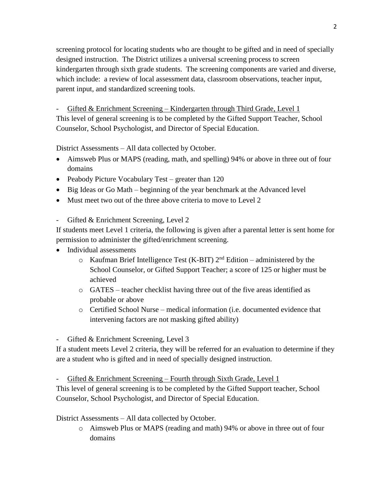screening protocol for locating students who are thought to be gifted and in need of specially designed instruction. The District utilizes a universal screening process to screen kindergarten through sixth grade students. The screening components are varied and diverse, which include: a review of local assessment data, classroom observations, teacher input, parent input, and standardized screening tools.

Gifted  $&$  Enrichment Screening – Kindergarten through Third Grade, Level 1 This level of general screening is to be completed by the Gifted Support Teacher, School Counselor, School Psychologist, and Director of Special Education.

District Assessments – All data collected by October.

- Aimsweb Plus or MAPS (reading, math, and spelling) 94% or above in three out of four domains
- Peabody Picture Vocabulary Test greater than 120
- Big Ideas or Go Math beginning of the year benchmark at the Advanced level
- Must meet two out of the three above criteria to move to Level 2

- Gifted & Enrichment Screening, Level 2

If students meet Level 1 criteria, the following is given after a parental letter is sent home for permission to administer the gifted/enrichment screening.

- Individual assessments
	- $\circ$  Kaufman Brief Intelligence Test (K-BIT)  $2<sup>nd</sup>$  Edition administered by the School Counselor, or Gifted Support Teacher; a score of 125 or higher must be achieved
	- o GATES teacher checklist having three out of the five areas identified as probable or above
	- o Certified School Nurse medical information (i.e. documented evidence that intervening factors are not masking gifted ability)

- Gifted & Enrichment Screening, Level 3

If a student meets Level 2 criteria, they will be referred for an evaluation to determine if they are a student who is gifted and in need of specially designed instruction.

 $Gifted & Enrichment Screening - Fourth through Sixth Grade, Level 1$ 

This level of general screening is to be completed by the Gifted Support teacher, School Counselor, School Psychologist, and Director of Special Education.

District Assessments – All data collected by October.

o Aimsweb Plus or MAPS (reading and math) 94% or above in three out of four domains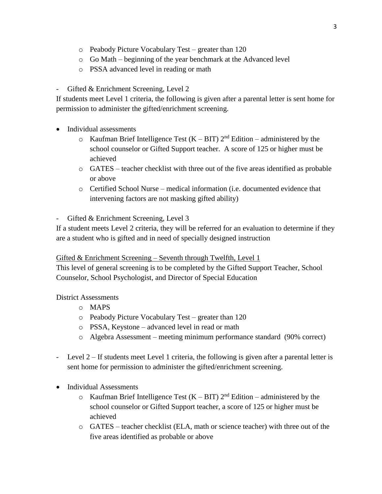- o Peabody Picture Vocabulary Test greater than 120
- o Go Math beginning of the year benchmark at the Advanced level
- o PSSA advanced level in reading or math

Gifted & Enrichment Screening, Level 2

If students meet Level 1 criteria, the following is given after a parental letter is sent home for permission to administer the gifted/enrichment screening.

- Individual assessments
	- $\circ$  Kaufman Brief Intelligence Test (K BIT)  $2^{nd}$  Edition administered by the school counselor or Gifted Support teacher. A score of 125 or higher must be achieved
	- o GATES teacher checklist with three out of the five areas identified as probable or above
	- $\circ$  Certified School Nurse medical information (i.e. documented evidence that intervening factors are not masking gifted ability)

- Gifted & Enrichment Screening, Level 3

If a student meets Level 2 criteria, they will be referred for an evaluation to determine if they are a student who is gifted and in need of specially designed instruction

# Gifted & Enrichment Screening – Seventh through Twelfth, Level 1

This level of general screening is to be completed by the Gifted Support Teacher, School Counselor, School Psychologist, and Director of Special Education

# District Assessments

- o MAPS
- o Peabody Picture Vocabulary Test greater than 120
- o PSSA, Keystone advanced level in read or math
- o Algebra Assessment meeting minimum performance standard (90% correct)
- Level 2 If students meet Level 1 criteria, the following is given after a parental letter is sent home for permission to administer the gifted/enrichment screening.
- Individual Assessments
	- $\circ$  Kaufman Brief Intelligence Test (K BIT)  $2<sup>nd</sup>$  Edition administered by the school counselor or Gifted Support teacher, a score of 125 or higher must be achieved
	- $\circ$  GATES teacher checklist (ELA, math or science teacher) with three out of the five areas identified as probable or above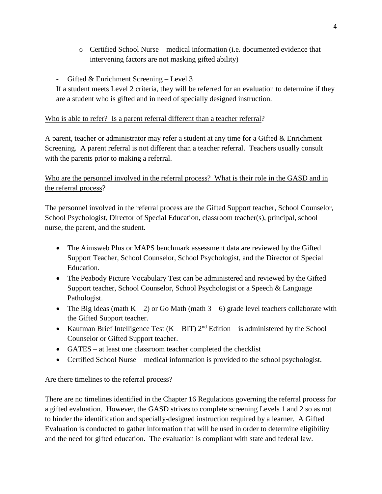- $\circ$  Certified School Nurse medical information (i.e. documented evidence that intervening factors are not masking gifted ability)
- Gifted & Enrichment Screening Level 3

If a student meets Level 2 criteria, they will be referred for an evaluation to determine if they are a student who is gifted and in need of specially designed instruction.

#### Who is able to refer? Is a parent referral different than a teacher referral?

A parent, teacher or administrator may refer a student at any time for a Gifted & Enrichment Screening. A parent referral is not different than a teacher referral. Teachers usually consult with the parents prior to making a referral.

# Who are the personnel involved in the referral process? What is their role in the GASD and in the referral process?

The personnel involved in the referral process are the Gifted Support teacher, School Counselor, School Psychologist, Director of Special Education, classroom teacher(s), principal, school nurse, the parent, and the student.

- The Aimsweb Plus or MAPS benchmark assessment data are reviewed by the Gifted Support Teacher, School Counselor, School Psychologist, and the Director of Special Education.
- The Peabody Picture Vocabulary Test can be administered and reviewed by the Gifted Support teacher, School Counselor, School Psychologist or a Speech & Language Pathologist.
- The Big Ideas (math  $K 2$ ) or Go Math (math  $3 6$ ) grade level teachers collaborate with the Gifted Support teacher.
- Kaufman Brief Intelligence Test  $(K BIT)$   $2<sup>nd</sup>$  Edition is administered by the School Counselor or Gifted Support teacher.
- GATES at least one classroom teacher completed the checklist
- Certified School Nurse medical information is provided to the school psychologist.

# Are there timelines to the referral process?

There are no timelines identified in the Chapter 16 Regulations governing the referral process for a gifted evaluation. However, the GASD strives to complete screening Levels 1 and 2 so as not to hinder the identification and specially-designed instruction required by a learner. A Gifted Evaluation is conducted to gather information that will be used in order to determine eligibility and the need for gifted education. The evaluation is compliant with state and federal law.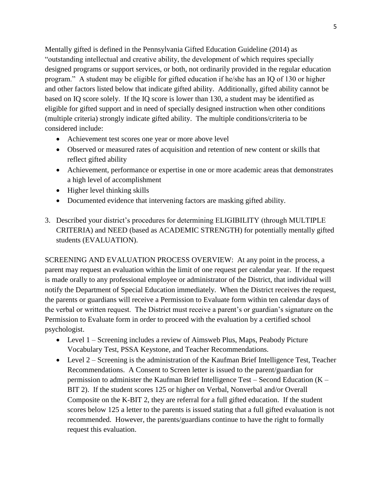Mentally gifted is defined in the Pennsylvania Gifted Education Guideline (2014) as "outstanding intellectual and creative ability, the development of which requires specially designed programs or support services, or both, not ordinarily provided in the regular education program." A student may be eligible for gifted education if he/she has an IQ of 130 or higher and other factors listed below that indicate gifted ability. Additionally, gifted ability cannot be based on IQ score solely. If the IQ score is lower than 130, a student may be identified as eligible for gifted support and in need of specially designed instruction when other conditions (multiple criteria) strongly indicate gifted ability. The multiple conditions/criteria to be considered include:

- Achievement test scores one year or more above level
- Observed or measured rates of acquisition and retention of new content or skills that reflect gifted ability
- Achievement, performance or expertise in one or more academic areas that demonstrates a high level of accomplishment
- Higher level thinking skills
- Documented evidence that intervening factors are masking gifted ability.
- 3. Described your district's procedures for determining ELIGIBILITY (through MULTIPLE CRITERIA) and NEED (based as ACADEMIC STRENGTH) for potentially mentally gifted students (EVALUATION).

SCREENING AND EVALUATION PROCESS OVERVIEW: At any point in the process, a parent may request an evaluation within the limit of one request per calendar year. If the request is made orally to any professional employee or administrator of the District, that individual will notify the Department of Special Education immediately. When the District receives the request, the parents or guardians will receive a Permission to Evaluate form within ten calendar days of the verbal or written request. The District must receive a parent's or guardian's signature on the Permission to Evaluate form in order to proceed with the evaluation by a certified school psychologist.

- Level 1 Screening includes a review of Aimsweb Plus, Maps, Peabody Picture Vocabulary Test, PSSA Keystone, and Teacher Recommendations.
- Level 2 Screening is the administration of the Kaufman Brief Intelligence Test, Teacher Recommendations. A Consent to Screen letter is issued to the parent/guardian for permission to administer the Kaufman Brief Intelligence Test – Second Education (K – BIT 2). If the student scores 125 or higher on Verbal, Nonverbal and/or Overall Composite on the K-BIT 2, they are referral for a full gifted education. If the student scores below 125 a letter to the parents is issued stating that a full gifted evaluation is not recommended. However, the parents/guardians continue to have the right to formally request this evaluation.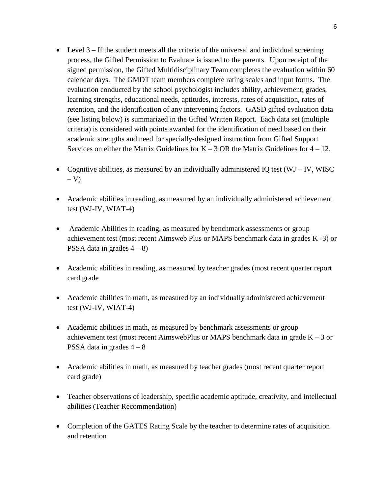- Level  $3 If$  the student meets all the criteria of the universal and individual screening process, the Gifted Permission to Evaluate is issued to the parents. Upon receipt of the signed permission, the Gifted Multidisciplinary Team completes the evaluation within 60 calendar days. The GMDT team members complete rating scales and input forms. The evaluation conducted by the school psychologist includes ability, achievement, grades, learning strengths, educational needs, aptitudes, interests, rates of acquisition, rates of retention, and the identification of any intervening factors. GASD gifted evaluation data (see listing below) is summarized in the Gifted Written Report. Each data set (multiple criteria) is considered with points awarded for the identification of need based on their academic strengths and need for specially-designed instruction from Gifted Support Services on either the Matrix Guidelines for  $K - 3$  OR the Matrix Guidelines for  $4 - 12$ .
- Cognitive abilities, as measured by an individually administered IO test  $(WJ IV, WISC$  $-V$ )
- Academic abilities in reading, as measured by an individually administered achievement test (WJ-IV, WIAT-4)
- Academic Abilities in reading, as measured by benchmark assessments or group achievement test (most recent Aimsweb Plus or MAPS benchmark data in grades K -3) or PSSA data in grades  $4 - 8$ )
- Academic abilities in reading, as measured by teacher grades (most recent quarter report card grade
- Academic abilities in math, as measured by an individually administered achievement test (WJ-IV, WIAT-4)
- Academic abilities in math, as measured by benchmark assessments or group achievement test (most recent AimswebPlus or MAPS benchmark data in grade  $K - 3$  or PSSA data in grades  $4 - 8$
- Academic abilities in math, as measured by teacher grades (most recent quarter report card grade)
- Teacher observations of leadership, specific academic aptitude, creativity, and intellectual abilities (Teacher Recommendation)
- Completion of the GATES Rating Scale by the teacher to determine rates of acquisition and retention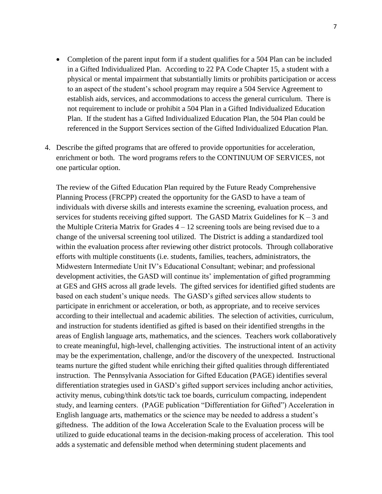- Completion of the parent input form if a student qualifies for a 504 Plan can be included in a Gifted Individualized Plan. According to 22 PA Code Chapter 15, a student with a physical or mental impairment that substantially limits or prohibits participation or access to an aspect of the student's school program may require a 504 Service Agreement to establish aids, services, and accommodations to access the general curriculum. There is not requirement to include or prohibit a 504 Plan in a Gifted Individualized Education Plan. If the student has a Gifted Individualized Education Plan, the 504 Plan could be referenced in the Support Services section of the Gifted Individualized Education Plan.
- 4. Describe the gifted programs that are offered to provide opportunities for acceleration, enrichment or both. The word programs refers to the CONTINUUM OF SERVICES, not one particular option.

The review of the Gifted Education Plan required by the Future Ready Comprehensive Planning Process (FRCPP) created the opportunity for the GASD to have a team of individuals with diverse skills and interests examine the screening, evaluation process, and services for students receiving gifted support. The GASD Matrix Guidelines for  $K - 3$  and the Multiple Criteria Matrix for Grades  $4 - 12$  screening tools are being revised due to a change of the universal screening tool utilized. The District is adding a standardized tool within the evaluation process after reviewing other district protocols. Through collaborative efforts with multiple constituents (i.e. students, families, teachers, administrators, the Midwestern Intermediate Unit IV's Educational Consultant; webinar; and professional development activities, the GASD will continue its' implementation of gifted programming at GES and GHS across all grade levels. The gifted services for identified gifted students are based on each student's unique needs. The GASD's gifted services allow students to participate in enrichment or acceleration, or both, as appropriate, and to receive services according to their intellectual and academic abilities. The selection of activities, curriculum, and instruction for students identified as gifted is based on their identified strengths in the areas of English language arts, mathematics, and the sciences. Teachers work collaboratively to create meaningful, high-level, challenging activities. The instructional intent of an activity may be the experimentation, challenge, and/or the discovery of the unexpected. Instructional teams nurture the gifted student while enriching their gifted qualities through differentiated instruction. The Pennsylvania Association for Gifted Education (PAGE) identifies several differentiation strategies used in GASD's gifted support services including anchor activities, activity menus, cubing/think dots/tic tack toe boards, curriculum compacting, independent study, and learning centers. (PAGE publication "Differentiation for Gifted") Acceleration in English language arts, mathematics or the science may be needed to address a student's giftedness. The addition of the Iowa Acceleration Scale to the Evaluation process will be utilized to guide educational teams in the decision-making process of acceleration. This tool adds a systematic and defensible method when determining student placements and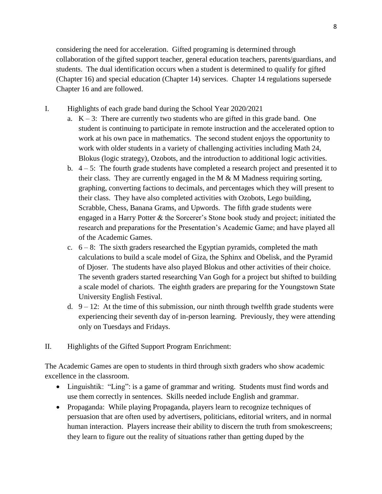considering the need for acceleration. Gifted programing is determined through collaboration of the gifted support teacher, general education teachers, parents/guardians, and students. The dual identification occurs when a student is determined to qualify for gifted (Chapter 16) and special education (Chapter 14) services. Chapter 14 regulations supersede Chapter 16 and are followed.

- I. Highlights of each grade band during the School Year 2020/2021
	- a.  $K 3$ : There are currently two students who are gifted in this grade band. One student is continuing to participate in remote instruction and the accelerated option to work at his own pace in mathematics. The second student enjoys the opportunity to work with older students in a variety of challenging activities including Math 24, Blokus (logic strategy), Ozobots, and the introduction to additional logic activities.
	- b.  $4 5$ : The fourth grade students have completed a research project and presented it to their class. They are currently engaged in the M & M Madness requiring sorting, graphing, converting factions to decimals, and percentages which they will present to their class. They have also completed activities with Ozobots, Lego building, Scrabble, Chess, Banana Grams, and Upwords. The fifth grade students were engaged in a Harry Potter & the Sorcerer's Stone book study and project; initiated the research and preparations for the Presentation's Academic Game; and have played all of the Academic Games.
	- c.  $6 8$ : The sixth graders researched the Egyptian pyramids, completed the math calculations to build a scale model of Giza, the Sphinx and Obelisk, and the Pyramid of Djoser. The students have also played Blokus and other activities of their choice. The seventh graders started researching Van Gogh for a project but shifted to building a scale model of chariots. The eighth graders are preparing for the Youngstown State University English Festival.
	- d.  $9 12$ : At the time of this submission, our ninth through twelfth grade students were experiencing their seventh day of in-person learning. Previously, they were attending only on Tuesdays and Fridays.
- II. Highlights of the Gifted Support Program Enrichment:

The Academic Games are open to students in third through sixth graders who show academic excellence in the classroom.

- Linguishtik: "Ling": is a game of grammar and writing. Students must find words and use them correctly in sentences. Skills needed include English and grammar.
- Propaganda: While playing Propaganda, players learn to recognize techniques of persuasion that are often used by advertisers, politicians, editorial writers, and in normal human interaction. Players increase their ability to discern the truth from smokescreens; they learn to figure out the reality of situations rather than getting duped by the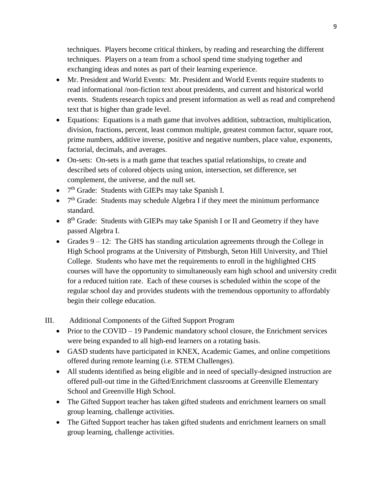techniques. Players become critical thinkers, by reading and researching the different techniques. Players on a team from a school spend time studying together and exchanging ideas and notes as part of their learning experience.

- Mr. President and World Events: Mr. President and World Events require students to read informational /non-fiction text about presidents, and current and historical world events. Students research topics and present information as well as read and comprehend text that is higher than grade level.
- Equations: Equations is a math game that involves addition, subtraction, multiplication, division, fractions, percent, least common multiple, greatest common factor, square root, prime numbers, additive inverse, positive and negative numbers, place value, exponents, factorial, decimals, and averages.
- On-sets: On-sets is a math game that teaches spatial relationships, to create and described sets of colored objects using union, intersection, set difference, set complement, the universe, and the null set.
- $\bullet$  7<sup>th</sup> Grade: Students with GIEPs may take Spanish I.
- $\bullet$  7<sup>th</sup> Grade: Students may schedule Algebra I if they meet the minimum performance standard.
- $\bullet$  8<sup>th</sup> Grade: Students with GIEPs may take Spanish I or II and Geometry if they have passed Algebra I.
- Grades  $9 12$ : The GHS has standing articulation agreements through the College in High School programs at the University of Pittsburgh, Seton Hill University, and Thiel College. Students who have met the requirements to enroll in the highlighted CHS courses will have the opportunity to simultaneously earn high school and university credit for a reduced tuition rate. Each of these courses is scheduled within the scope of the regular school day and provides students with the tremendous opportunity to affordably begin their college education.

III. Additional Components of the Gifted Support Program

- Prior to the COVID 19 Pandemic mandatory school closure, the Enrichment services were being expanded to all high-end learners on a rotating basis.
- GASD students have participated in KNEX, Academic Games, and online competitions offered during remote learning (i.e. STEM Challenges).
- All students identified as being eligible and in need of specially-designed instruction are offered pull-out time in the Gifted/Enrichment classrooms at Greenville Elementary School and Greenville High School.
- The Gifted Support teacher has taken gifted students and enrichment learners on small group learning, challenge activities.
- The Gifted Support teacher has taken gifted students and enrichment learners on small group learning, challenge activities.